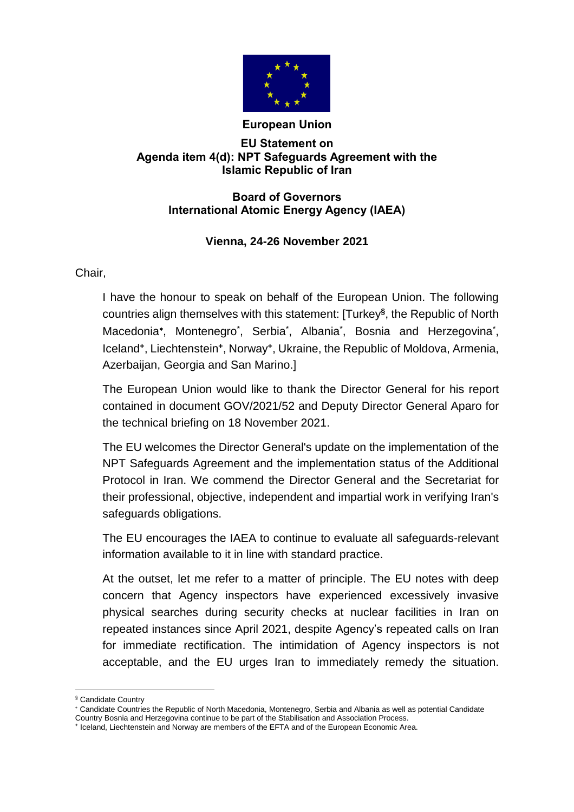

## **European Union**

## **EU Statement on Agenda item 4(d): NPT Safeguards Agreement with the Islamic Republic of Iran**

## **Board of Governors International Atomic Energy Agency (IAEA)**

## **Vienna, 24-26 November 2021**

Chair,

I have the honour to speak on behalf of the European Union. The following countries align themselves with this statement: [Turkey**§** , the Republic of North Macedonia\*, Montenegro<sup>\*</sup>, Serbia<sup>\*</sup>, Albania<sup>\*</sup>, Bosnia and Herzegovina<sup>\*</sup>, Iceland**<sup>+</sup>** , Liechtenstein**<sup>+</sup>** , Norway**<sup>+</sup>** , Ukraine, the Republic of Moldova, Armenia, Azerbaijan, Georgia and San Marino.]

The European Union would like to thank the Director General for his report contained in document GOV/2021/52 and Deputy Director General Aparo for the technical briefing on 18 November 2021.

The EU welcomes the Director General's update on the implementation of the NPT Safeguards Agreement and the implementation status of the Additional Protocol in Iran. We commend the Director General and the Secretariat for their professional, objective, independent and impartial work in verifying Iran's safeguards obligations.

The EU encourages the IAEA to continue to evaluate all safeguards-relevant information available to it in line with standard practice.

At the outset, let me refer to a matter of principle. The EU notes with deep concern that Agency inspectors have experienced excessively invasive physical searches during security checks at nuclear facilities in Iran on repeated instances since April 2021, despite Agency's repeated calls on Iran for immediate rectification. The intimidation of Agency inspectors is not acceptable, and the EU urges Iran to immediately remedy the situation.

 $\overline{a}$ § Candidate Country

Candidate Countries the Republic of North Macedonia, Montenegro, Serbia and Albania as well as potential Candidate Country Bosnia and Herzegovina continue to be part of the Stabilisation and Association Process.

<sup>+</sup> Iceland, Liechtenstein and Norway are members of the EFTA and of the European Economic Area.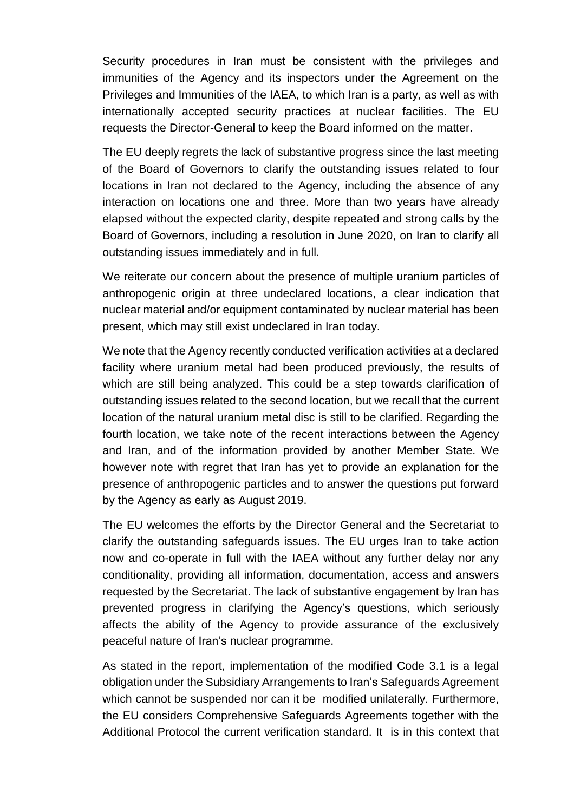Security procedures in Iran must be consistent with the privileges and immunities of the Agency and its inspectors under the Agreement on the Privileges and Immunities of the IAEA, to which Iran is a party, as well as with internationally accepted security practices at nuclear facilities. The EU requests the Director-General to keep the Board informed on the matter.

The EU deeply regrets the lack of substantive progress since the last meeting of the Board of Governors to clarify the outstanding issues related to four locations in Iran not declared to the Agency, including the absence of any interaction on locations one and three. More than two years have already elapsed without the expected clarity, despite repeated and strong calls by the Board of Governors, including a resolution in June 2020, on Iran to clarify all outstanding issues immediately and in full.

We reiterate our concern about the presence of multiple uranium particles of anthropogenic origin at three undeclared locations, a clear indication that nuclear material and/or equipment contaminated by nuclear material has been present, which may still exist undeclared in Iran today.

We note that the Agency recently conducted verification activities at a declared facility where uranium metal had been produced previously, the results of which are still being analyzed. This could be a step towards clarification of outstanding issues related to the second location, but we recall that the current location of the natural uranium metal disc is still to be clarified. Regarding the fourth location, we take note of the recent interactions between the Agency and Iran, and of the information provided by another Member State. We however note with regret that Iran has yet to provide an explanation for the presence of anthropogenic particles and to answer the questions put forward by the Agency as early as August 2019.

The EU welcomes the efforts by the Director General and the Secretariat to clarify the outstanding safeguards issues. The EU urges Iran to take action now and co-operate in full with the IAEA without any further delay nor any conditionality, providing all information, documentation, access and answers requested by the Secretariat. The lack of substantive engagement by Iran has prevented progress in clarifying the Agency's questions, which seriously affects the ability of the Agency to provide assurance of the exclusively peaceful nature of Iran's nuclear programme.

As stated in the report, implementation of the modified Code 3.1 is a legal obligation under the Subsidiary Arrangements to Iran's Safeguards Agreement which cannot be suspended nor can it be modified unilaterally. Furthermore, the EU considers Comprehensive Safeguards Agreements together with the Additional Protocol the current verification standard. It is in this context that